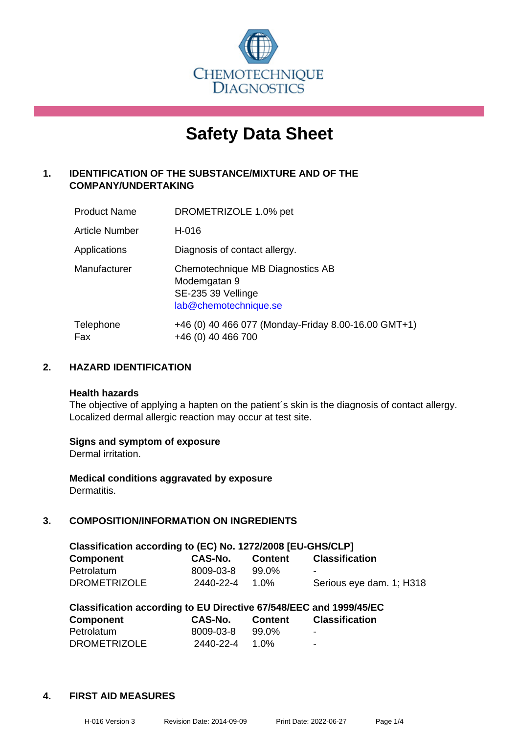

# **Safety Data Sheet**

## **1. IDENTIFICATION OF THE SUBSTANCE/MIXTURE AND OF THE COMPANY/UNDERTAKING**

| <b>Product Name</b>   | DROMETRIZOLE 1.0% pet                                                                           |
|-----------------------|-------------------------------------------------------------------------------------------------|
| <b>Article Number</b> | H-016                                                                                           |
| Applications          | Diagnosis of contact allergy.                                                                   |
| Manufacturer          | Chemotechnique MB Diagnostics AB<br>Modemgatan 9<br>SE-235 39 Vellinge<br>lab@chemotechnique.se |
| Telephone<br>Fax      | +46 (0) 40 466 077 (Monday-Friday 8.00-16.00 GMT+1)<br>+46 (0) 40 466 700                       |

## **2. HAZARD IDENTIFICATION**

#### **Health hazards**

The objective of applying a hapten on the patient's skin is the diagnosis of contact allergy. Localized dermal allergic reaction may occur at test site.

## **Signs and symptom of exposure**

Dermal irritation.

**Medical conditions aggravated by exposure** Dermatitis.

## **3. COMPOSITION/INFORMATION ON INGREDIENTS**

| Classification according to (EC) No. 1272/2008 [EU-GHS/CLP] |           |                |                          |  |  |
|-------------------------------------------------------------|-----------|----------------|--------------------------|--|--|
| <b>Component</b>                                            | CAS-No.   | <b>Content</b> | <b>Classification</b>    |  |  |
| Petrolatum                                                  | 8009-03-8 | 99.0%          |                          |  |  |
| <b>DROMETRIZOLE</b>                                         | 2440-22-4 | 1.0%           | Serious eye dam. 1; H318 |  |  |

| Classification according to EU Directive 67/548/EEC and 1999/45/EC |           |                |                       |  |
|--------------------------------------------------------------------|-----------|----------------|-----------------------|--|
| <b>Component</b>                                                   | CAS-No.   | <b>Content</b> | <b>Classification</b> |  |
| Petrolatum                                                         | 8009-03-8 | 99.0%          |                       |  |
| <b>DROMETRIZOLE</b>                                                | 2440-22-4 | 1.0%           | $\sim$                |  |

#### **4. FIRST AID MEASURES**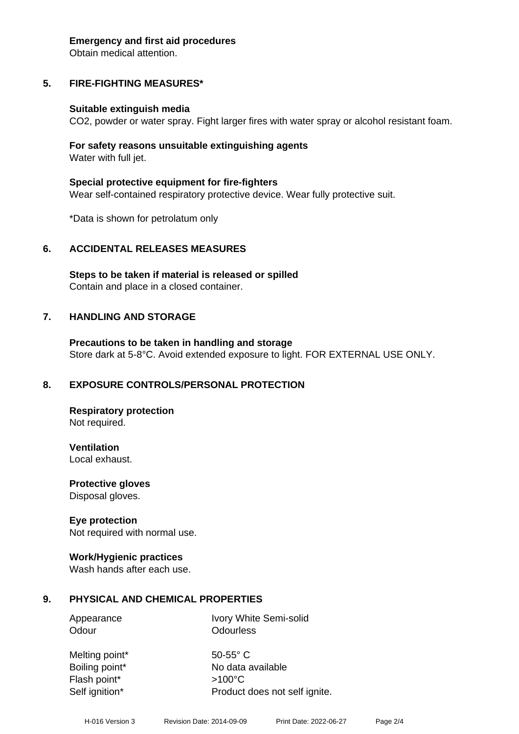#### **Emergency and first aid procedures**

Obtain medical attention.

# **5. FIRE-FIGHTING MEASURES\***

## **Suitable extinguish media**

CO2, powder or water spray. Fight larger fires with water spray or alcohol resistant foam.

## **For safety reasons unsuitable extinguishing agents** Water with full jet.

**Special protective equipment for fire-fighters** Wear self-contained respiratory protective device. Wear fully protective suit.

\*Data is shown for petrolatum only

# **6. ACCIDENTAL RELEASES MEASURES**

**Steps to be taken if material is released or spilled** Contain and place in a closed container.

# **7. HANDLING AND STORAGE**

**Precautions to be taken in handling and storage** Store dark at 5-8°C. Avoid extended exposure to light. FOR EXTERNAL USE ONLY.

# **8. EXPOSURE CONTROLS/PERSONAL PROTECTION**

**Respiratory protection** Not required.

**Ventilation** Local exhaust.

**Protective gloves** Disposal gloves.

## **Eye protection**

Not required with normal use.

## **Work/Hygienic practices**

Wash hands after each use.

# **9. PHYSICAL AND CHEMICAL PROPERTIES**

Appearance Ivory White Semi-solid Odour **Odourless** 

Melting point\* 50-55° C Flash point\* >100°C

Boiling point\* No data available Self ignition\* Product does not self ignite.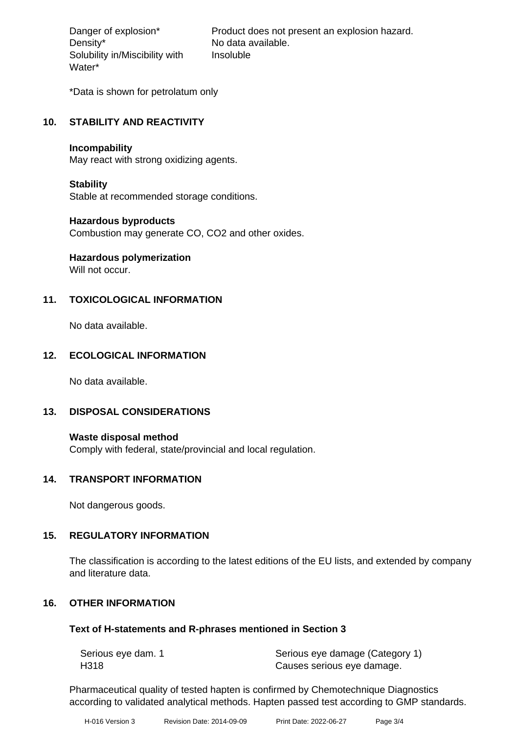Density\* No data available. Solubility in/Miscibility with Water\*

Danger of explosion\* Product does not present an explosion hazard. Insoluble

\*Data is shown for petrolatum only

## **10. STABILITY AND REACTIVITY**

#### **Incompability**

May react with strong oxidizing agents.

## **Stability**

Stable at recommended storage conditions.

## **Hazardous byproducts**

Combustion may generate CO, CO2 and other oxides.

# **Hazardous polymerization**

Will not occur.

## **11. TOXICOLOGICAL INFORMATION**

No data available.

## **12. ECOLOGICAL INFORMATION**

No data available.

## **13. DISPOSAL CONSIDERATIONS**

**Waste disposal method** Comply with federal, state/provincial and local regulation.

## **14. TRANSPORT INFORMATION**

Not dangerous goods.

## **15. REGULATORY INFORMATION**

The classification is according to the latest editions of the EU lists, and extended by company and literature data.

## **16. OTHER INFORMATION**

## **Text of H-statements and R-phrases mentioned in Section 3**

| Serious eye dam. 1 | Serious eye damage (Category 1) |
|--------------------|---------------------------------|
| H318               | Causes serious eye damage.      |

Pharmaceutical quality of tested hapten is confirmed by Chemotechnique Diagnostics according to validated analytical methods. Hapten passed test according to GMP standards.